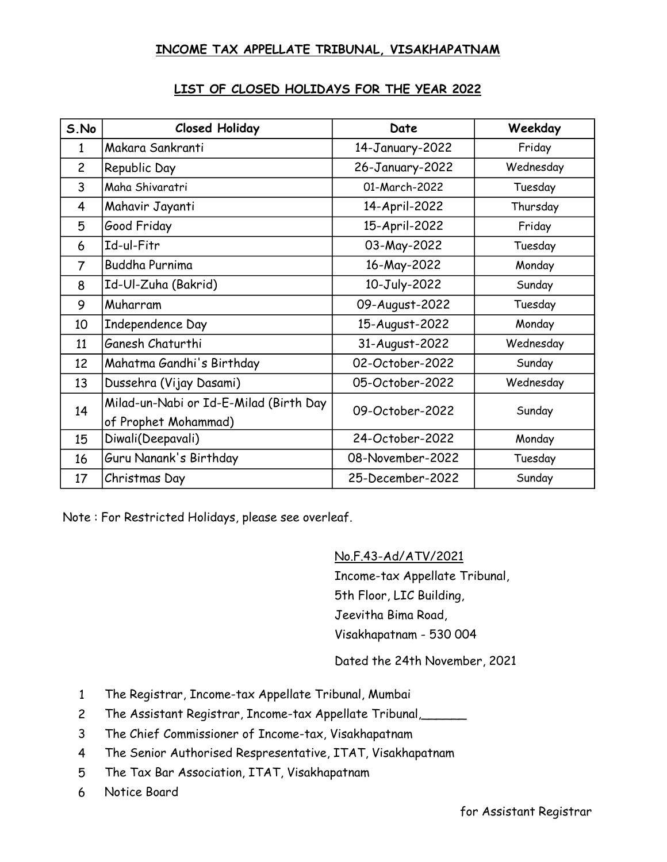## INCOME TAX APPELLATE TRIBUNAL, VISAKHAPATNAM

|  |  |  | LIST OF CLOSED HOLIDAYS FOR THE YEAR 2022 |  |  |  |  |
|--|--|--|-------------------------------------------|--|--|--|--|
|--|--|--|-------------------------------------------|--|--|--|--|

| S.No           | <b>Closed Holiday</b>                  | Date             | Weekday   |  |
|----------------|----------------------------------------|------------------|-----------|--|
| 1              | Makara Sankranti                       | 14-January-2022  | Friday    |  |
| $\overline{c}$ | Republic Day                           | 26-January-2022  | Wednesday |  |
| 3              | Maha Shivaratri                        | 01-March-2022    | Tuesday   |  |
| 4              | Mahavir Jayanti                        | 14-April-2022    | Thursday  |  |
| 5              | Good Friday                            | 15-April-2022    | Friday    |  |
| 6              | Id-ul-Fitr                             | 03-May-2022      | Tuesday   |  |
| 7              | <b>Buddha Purnima</b>                  | 16-May-2022      | Monday    |  |
| 8              | Id-Ul-Zuha (Bakrid)                    | 10-July-2022     | Sunday    |  |
| 9              | Muharram                               | 09-August-2022   | Tuesday   |  |
| 10             | Independence Day                       | 15-August-2022   | Monday    |  |
| 11             | Ganesh Chaturthi                       | 31-August-2022   | Wednesday |  |
| 12             | Mahatma Gandhi's Birthday              | 02-October-2022  | Sunday    |  |
| 13             | Dussehra (Vijay Dasami)                | 05-October-2022  | Wednesday |  |
| 14             | Milad-un-Nabi or Id-E-Milad (Birth Day | 09-October-2022  | Sunday    |  |
|                | of Prophet Mohammad)                   |                  |           |  |
| 15             | Diwali(Deepavali)                      | 24-October-2022  | Monday    |  |
| 16             | Guru Nanank's Birthday                 | 08-November-2022 | Tuesday   |  |
| 17             | Christmas Day                          | 25-December-2022 | Sunday    |  |

Note : For Restricted Holidays, please see overleaf.

No.F.43-Ad/ATV/2021

Income-tax Appellate Tribunal, 5th Floor, LIC Building, Jeevitha Bima Road, Visakhapatnam - 530 004

Dated the 24th November, 2021

- 1 The Registrar, Income-tax Appellate Tribunal, Mumbai
- 2 The Assistant Registrar, Income-tax Appellate Tribunal,\_\_\_\_\_\_
- 3 The Chief Commissioner of Income-tax, Visakhapatnam
- 4 The Senior Authorised Respresentative, ITAT, Visakhapatnam
- 5 The Tax Bar Association, ITAT, Visakhapatnam
- 6 Notice Board